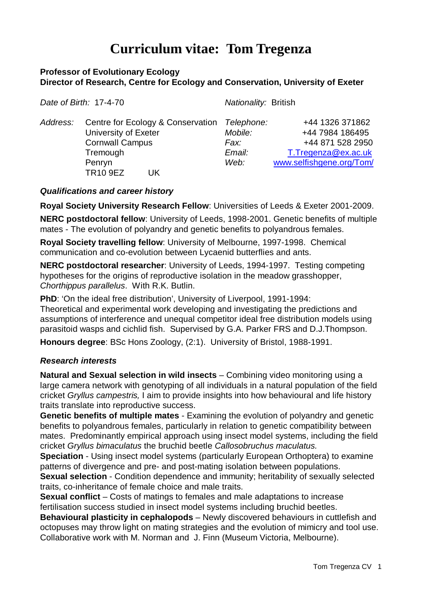# **Curriculum vitae: Tom Tregenza**

## **Professor of Evolutionary Ecology Director of Research, Centre for Ecology and Conservation, University of Exeter**

| Date of Birth: 17-4-70 |                                                                                                                                     | Nationality: British                            |                                                                                                           |
|------------------------|-------------------------------------------------------------------------------------------------------------------------------------|-------------------------------------------------|-----------------------------------------------------------------------------------------------------------|
| Address:               | Centre for Ecology & Conservation<br>University of Exeter<br><b>Cornwall Campus</b><br>Tremough<br>Penryn<br><b>TR10 9EZ</b><br>UK. | Telephone:<br>Mobile:<br>Fax:<br>Email:<br>Web: | +44 1326 371862<br>+44 7984 186495<br>+44 871 528 2950<br>T.Tregenza@ex.ac.uk<br>www.selfishgene.org/Tom/ |

### *Qualifications and career history*

**Royal Society University Research Fellow**: Universities of Leeds & Exeter 2001-2009.

**NERC postdoctoral fellow**: University of Leeds, 1998-2001. Genetic benefits of multiple mates - The evolution of polyandry and genetic benefits to polyandrous females.

**Royal Society travelling fellow**: University of Melbourne, 1997-1998. Chemical communication and co-evolution between Lycaenid butterflies and ants.

**NERC postdoctoral researcher**: University of Leeds, 1994-1997. Testing competing hypotheses for the origins of reproductive isolation in the meadow grasshopper, *Chorthippus parallelus*. With R.K. Butlin.

**PhD**: 'On the ideal free distribution', University of Liverpool, 1991-1994: Theoretical and experimental work developing and investigating the predictions and assumptions of interference and unequal competitor ideal free distribution models using parasitoid wasps and cichlid fish. Supervised by G.A. Parker FRS and D.J.Thompson.

**Honours degree**: BSc Hons Zoology, (2:1). University of Bristol, 1988-1991.

### *Research interests*

**Natural and Sexual selection in wild insects** – Combining video monitoring using a large camera network with genotyping of all individuals in a natural population of the field cricket *Gryllus campestris,* I aim to provide insights into how behavioural and life history traits translate into reproductive success.

**Genetic benefits of multiple mates** - Examining the evolution of polyandry and genetic benefits to polyandrous females, particularly in relation to genetic compatibility between mates. Predominantly empirical approach using insect model systems, including the field cricket *Gryllus bimaculatus* the bruchid beetle *Callosobruchus maculatus.*

**Speciation** - Using insect model systems (particularly European Orthoptera) to examine patterns of divergence and pre- and post-mating isolation between populations.

**Sexual selection** - Condition dependence and immunity; heritability of sexually selected traits, co-inheritance of female choice and male traits.

**Sexual conflict** – Costs of matings to females and male adaptations to increase fertilisation success studied in insect model systems including bruchid beetles.

**Behavioural plasticity in cephalopods** – Newly discovered behaviours in cuttlefish and octopuses may throw light on mating strategies and the evolution of mimicry and tool use. Collaborative work with M. Norman and J. Finn (Museum Victoria, Melbourne).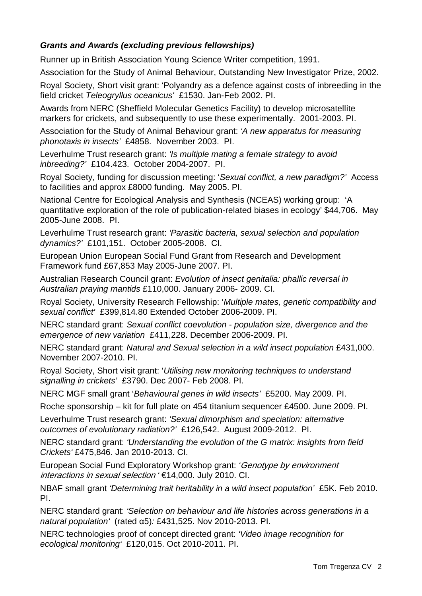# *Grants and Awards (excluding previous fellowships)*

Runner up in British Association Young Science Writer competition, 1991.

Association for the Study of Animal Behaviour, Outstanding New Investigator Prize, 2002.

Royal Society, Short visit grant: 'Polyandry as a defence against costs of inbreeding in the field cricket *Teleogryllus oceanicus'* £1530. Jan-Feb 2002. PI.

Awards from NERC (Sheffield Molecular Genetics Facility) to develop microsatellite markers for crickets, and subsequently to use these experimentally. 2001-2003. PI.

Association for the Study of Animal Behaviour grant: *'A new apparatus for measuring phonotaxis in insects'* £4858. November 2003. PI.

Leverhulme Trust research grant: *'Is multiple mating a female strategy to avoid inbreeding?'* £104.423. October 2004-2007. PI.

Royal Society, funding for discussion meeting: '*Sexual conflict, a new paradigm?'* Access to facilities and approx £8000 funding. May 2005. PI.

National Centre for Ecological Analysis and Synthesis (NCEAS) working group: 'A quantitative exploration of the role of publication-related biases in ecology' \$44,706. May 2005-June 2008. PI.

Leverhulme Trust research grant: *'Parasitic bacteria, sexual selection and population dynamics?'* £101,151. October 2005-2008. CI.

European Union European Social Fund Grant from Research and Development Framework fund £67,853 May 2005-June 2007. PI.

Australian Research Council grant: *Evolution of insect genitalia: phallic reversal in Australian praying mantids* £110,000. January 2006- 2009. CI.

Royal Society, University Research Fellowship: '*Multiple mates, genetic compatibility and sexual conflict'* £399,814.80 Extended October 2006-2009. PI.

NERC standard grant: *Sexual conflict coevolution - population size, divergence and the emergence of new variation* £411,228. December 2006-2009. PI.

NERC standard grant: *Natural and Sexual selection in a wild insect population* £431,000. November 2007-2010. PI.

Royal Society, Short visit grant: '*Utilising new monitoring techniques to understand signalling in crickets'* £3790. Dec 2007- Feb 2008. PI.

NERC MGF small grant '*Behavioural genes in wild insects'* £5200. May 2009. PI.

Roche sponsorship – kit for full plate on 454 titanium sequencer £4500. June 2009. PI.

Leverhulme Trust research grant: *'Sexual dimorphism and speciation: alternative outcomes of evolutionary radiation?'* £126,542. August 2009-2012. PI.

NERC standard grant: *'Understanding the evolution of the G matrix: insights from field Crickets'* £475,846. Jan 2010-2013. CI.

European Social Fund Exploratory Workshop grant: *'*Genotype by environment interactions in sexual selection *'* €14,000. July 2010. CI.

NBAF small grant *'Determining trait heritability in a wild insect population'* £5K. Feb 2010. PI.

NERC standard grant: *'Selection on behaviour and life histories across generations in a natural population'* (rated α5)*:* £431,525. Nov 2010-2013. PI.

NERC technologies proof of concept directed grant: *'Video image recognition for ecological monitoring'* £120,015. Oct 2010-2011. PI.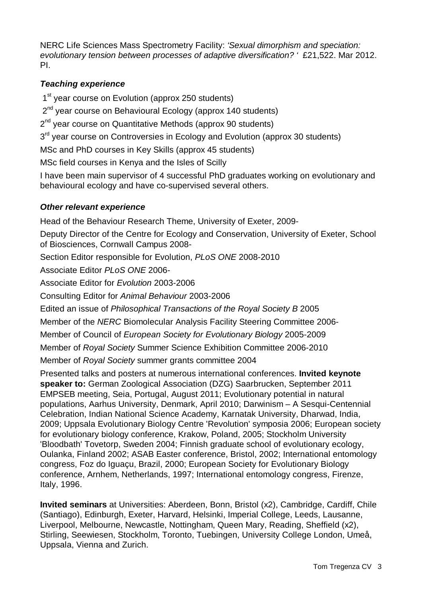NERC Life Sciences Mass Spectrometry Facility: *'Sexual dimorphism and speciation: evolutionary tension between processes of adaptive diversification? '* £21,522. Mar 2012. PI.

# *Teaching experience*

1<sup>st</sup> year course on Evolution (approx 250 students)

2<sup>nd</sup> year course on Behavioural Ecology (approx 140 students)

 $2<sup>nd</sup>$  year course on Quantitative Methods (approx 90 students)

 $3<sup>rd</sup>$  year course on Controversies in Ecology and Evolution (approx 30 students)

MSc and PhD courses in Key Skills (approx 45 students)

MSc field courses in Kenya and the Isles of Scilly

I have been main supervisor of 4 successful PhD graduates working on evolutionary and behavioural ecology and have co-supervised several others.

# *Other relevant experience*

Head of the Behaviour Research Theme, University of Exeter, 2009-

Deputy Director of the Centre for Ecology and Conservation, University of Exeter, School of Biosciences, Cornwall Campus 2008-

Section Editor responsible for Evolution, *PLoS ONE* 2008-2010

Associate Editor *PLoS ONE* 2006-

Associate Editor for *Evolution* 2003-2006

Consulting Editor for *Animal Behaviour* 2003-2006

Edited an issue of *Philosophical Transactions of the Royal Society B* 2005

Member of the *NERC* Biomolecular Analysis Facility Steering Committee 2006-

Member of Council of *European Society for Evolutionary Biology* 2005-2009

Member of *Royal Society* Summer Science Exhibition Committee 2006-2010

Member of *Royal Society* summer grants committee 2004

Presented talks and posters at numerous international conferences. **Invited keynote speaker to:** German Zoological Association (DZG) Saarbrucken, September 2011 EMPSEB meeting, Seia, Portugal, August 2011; Evolutionary potential in natural populations, Aarhus University, Denmark, April 2010; Darwinism – A Sesqui-Centennial Celebration, Indian National Science Academy, Karnatak University, Dharwad, India, 2009; Uppsala Evolutionary Biology Centre 'Revolution' symposia 2006; European society for evolutionary biology conference, Krakow, Poland, 2005; Stockholm University 'Bloodbath' Tovetorp, Sweden 2004; Finnish graduate school of evolutionary ecology, Oulanka, Finland 2002; ASAB Easter conference, Bristol, 2002; International entomology congress, Foz do Iguaçu, Brazil, 2000; European Society for Evolutionary Biology conference, Arnhem, Netherlands, 1997; International entomology congress, Firenze, Italy, 1996.

**Invited seminars** at Universities: Aberdeen, Bonn, Bristol (x2), Cambridge, Cardiff, Chile (Santiago), Edinburgh, Exeter, Harvard, Helsinki, Imperial College, Leeds, Lausanne, Liverpool, Melbourne, Newcastle, Nottingham, Queen Mary, Reading, Sheffield (x2), Stirling, Seewiesen, Stockholm, Toronto, Tuebingen, University College London, Umeå, Uppsala, Vienna and Zurich.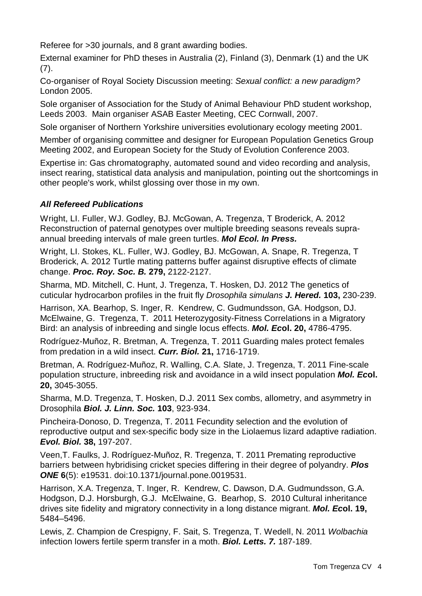Referee for >30 journals, and 8 grant awarding bodies.

External examiner for PhD theses in Australia (2), Finland (3), Denmark (1) and the UK (7).

Co-organiser of Royal Society Discussion meeting: *Sexual conflict: a new paradigm?* London 2005.

Sole organiser of Association for the Study of Animal Behaviour PhD student workshop, Leeds 2003. Main organiser ASAB Easter Meeting, CEC Cornwall, 2007.

Sole organiser of Northern Yorkshire universities evolutionary ecology meeting 2001.

Member of organising committee and designer for European Population Genetics Group Meeting 2002, and European Society for the Study of Evolution Conference 2003.

Expertise in: Gas chromatography, automated sound and video recording and analysis, insect rearing, statistical data analysis and manipulation, pointing out the shortcomings in other people's work, whilst glossing over those in my own.

# *All Refereed Publications*

Wright, LI. Fuller, WJ. Godley, BJ. McGowan, A. Tregenza, T Broderick, A. 2012 Reconstruction of paternal genotypes over multiple breeding seasons reveals supraannual breeding intervals of male green turtles. *Mol Ecol. In Press.*

Wright, LI. Stokes, KL. Fuller, WJ. Godley, BJ. McGowan, A. Snape, R. Tregenza, T Broderick, A. 2012 Turtle mating patterns buffer against disruptive effects of climate change. *Proc. Roy. Soc. B.* **279,** 2122-2127.

Sharma, MD. Mitchell, C. Hunt, J. Tregenza, T. Hosken, DJ. 2012 The genetics of cuticular hydrocarbon profiles in the fruit fly *Drosophila simulans J. Hered.* **103,** 230-239.

Harrison, XA. Bearhop, S. Inger, R. Kendrew, C. Gudmundsson, GA. Hodgson, DJ. McElwaine, G. Tregenza, T. 2011 Heterozygosity-Fitness Correlations in a Migratory Bird: an analysis of inbreeding and single locus effects. *Mol. Ec***ol. 20,** 4786-4795.

Rodríguez-Muñoz, R. Bretman, A. Tregenza, T. 2011 Guarding males protect females from predation in a wild insect. *Curr. Biol.* **21,** 1716-1719.

Bretman, A. Rodríguez-Muñoz, R. Walling, C.A. Slate, J. Tregenza, T. 2011 Fine-scale population structure, inbreeding risk and avoidance in a wild insect population *Mol. Ec***ol. 20,** 3045-3055.

Sharma, M.D. Tregenza, T. Hosken, D.J. 2011 Sex combs, allometry, and asymmetry in Drosophila *Biol. J. Linn. Soc.* **103**, 923-934.

Pincheira-Donoso, D. Tregenza, T. 2011 Fecundity selection and the evolution of reproductive output and sex-specific body size in the Liolaemus lizard adaptive radiation. *Evol. Biol.* **38,** 197-207.

Veen,T. Faulks, J. Rodríguez-Muñoz, R. Tregenza, T. 2011 Premating reproductive barriers between hybridising cricket species differing in their degree of polyandry. *Plos ONE* **6**(5): e19531. doi:10.1371/journal.pone.0019531.

Harrison, X.A. Tregenza, T. Inger, R. Kendrew, C. Dawson, D.A. Gudmundsson, G.A. Hodgson, D.J. Horsburgh, G.J. McElwaine, G. Bearhop, S. 2010 Cultural inheritance drives site fidelity and migratory connectivity in a long distance migrant. *Mol. Ec***ol. 19,** 5484–5496.

Lewis, Z. Champion de Crespigny, F. Sait, S. Tregenza, T. Wedell, N. 2011 *Wolbachia* infection lowers fertile sperm transfer in a moth. *Biol. Letts. 7.* 187-189.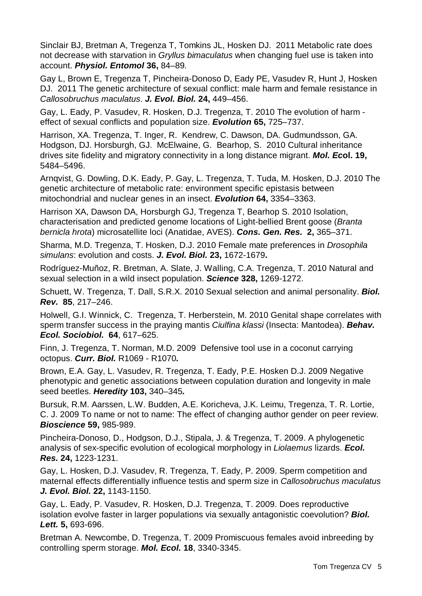Sinclair BJ, Bretman A, Tregenza T, Tomkins JL, Hosken DJ. 2011 Metabolic rate does not decrease with starvation in *Gryllus bimaculatus* when changing fuel use is taken into account. *Physiol. Entomol* **36,** 84–89*.*

Gay L, Brown E, Tregenza T, Pincheira-Donoso D, Eady PE, Vasudev R, Hunt J, Hosken DJ. 2011 The genetic architecture of sexual conflict: male harm and female resistance in *Callosobruchus maculatus*. *J. Evol. Biol.* **24,** 449–456.

Gay, L. Eady, P. Vasudev, R. Hosken, D.J. Tregenza, T. 2010 The evolution of harm effect of sexual conflicts and population size. *Evolution* **65,** 725–737.

Harrison, XA. Tregenza, T. Inger, R. Kendrew, C. Dawson, DA. Gudmundsson, GA. Hodgson, DJ. Horsburgh, GJ. McElwaine, G. Bearhop, S. 2010 Cultural inheritance drives site fidelity and migratory connectivity in a long distance migrant. *Mol. Ec***ol. 19,** 5484–5496.

Arnqvist, G. Dowling, D.K. Eady, P. Gay, L. Tregenza, T. Tuda, M. Hosken, D.J. 2010 The genetic architecture of metabolic rate: environment specific epistasis between mitochondrial and nuclear genes in an insect. *Evolution* **64,** 3354–3363.

Harrison XA, Dawson DA, Horsburgh GJ, Tregenza T, Bearhop S. 2010 Isolation, characterisation and predicted genome locations of Light-bellied Brent goose (*Branta bernicla hrota*) microsatellite loci (Anatidae, AVES). *Cons. Gen. Res.* **2,** 365–371.

Sharma, M.D. Tregenza, T. Hosken, D.J. 2010 Female mate preferences in *Drosophila simulans*: evolution and costs. *J. Evol. Biol.* **23,** 1672-1679**.**

Rodríguez-Muñoz, R. Bretman, A. Slate, J. Walling, C.A. Tregenza, T. 2010 Natural and sexual selection in a wild insect population. *Science* **328,** 1269-1272.

Schuett, W. Tregenza, T. Dall, S.R.X. 2010 Sexual selection and animal personality. *Biol. Rev.* **85**, 217–246.

Holwell, G.I. Winnick, C. Tregenza, T. Herberstein, M. 2010 Genital shape correlates with sperm transfer success in the praying mantis *Ciulfina klassi* (Insecta: Mantodea). *Behav. Ecol. Sociobiol.* **64**, 617–625.

Finn, J. Tregenza, T. Norman, M.D. 2009 Defensive tool use in a coconut carrying octopus. *Curr. Biol.* R1069 - R1070*.*

Brown, E.A. Gay, L. Vasudev, R. Tregenza, T. Eady, P.E. Hosken D.J. 2009 Negative phenotypic and genetic associations between copulation duration and longevity in male seed beetles. *Heredity* **103,** 340–345*.*

Bursuk, R.M. Aarssen, L.W. Budden, A.E. Koricheva, J.K. Leimu, Tregenza, T. R. Lortie, C. J. 2009 To name or not to name: The effect of changing author gender on peer review. *Bioscience* **59,** 985-989.

Pincheira-Donoso, D., Hodgson, D.J., Stipala, J. & Tregenza, T. 2009. A phylogenetic analysis of sex-specific evolution of ecological morphology in *Liolaemus* lizards. *Ecol. Res.* **24,** 1223-1231.

[Gay, L. Hosken, D.J. Vasudev, R. Tregenza, T. Eady, P. 2009. Sperm competition and](http://www.selfishgene.org/Tom/Papers/LGetal_JEB09.pdf)  [maternal effects differentially influence testis and sperm size in](http://www.selfishgene.org/Tom/Papers/LGetal_JEB09.pdf) *Callosobruchus maculatus J. Evol. Biol.* **22,** [1143-1150.](http://www.selfishgene.org/Tom/Papers/LGetal_JEB09.pdf)

[Gay, L. Eady, P. Vasudev, R. Hosken, D.J. Tregenza, T. 2009. Does reproductive](http://www.selfishgene.org/Tom/Papers/LGetalBL09.pdf)  [isolation evolve faster in larger populations via sexually antagonistic coevolution?](http://www.selfishgene.org/Tom/Papers/LGetalBL09.pdf) *Biol. Lett.* **5,** [693-696.](http://www.selfishgene.org/Tom/Papers/LGetalBL09.pdf)

Bretman A. Newcombe, D. Tregenza, T. 2009 Promiscuous females avoid inbreeding by controlling sperm storage. *Mol. Ecol.* **18**, 3340-3345.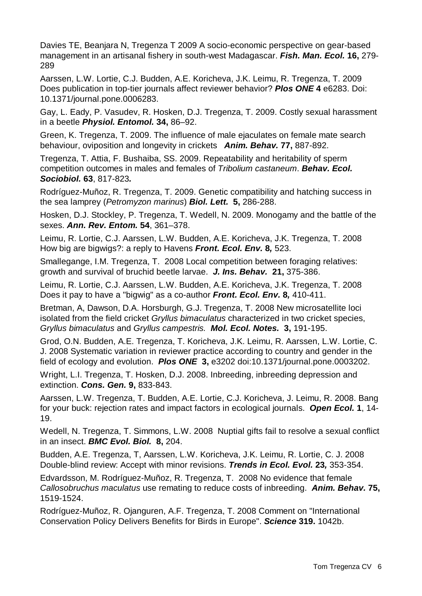Davies TE, Beanjara N, Tregenza T 2009 [A socio-economic perspective on gear-based](http://apps.isiknowledge.com/full_record.do?product=WOS&search_mode=GeneralSearch&qid=2&SID=Q27a6PPLKe4N7pj6hf9&page=1&doc=2)  [management in an artisanal fishery in south-west Madagascar.](http://apps.isiknowledge.com/full_record.do?product=WOS&search_mode=GeneralSearch&qid=2&SID=Q27a6PPLKe4N7pj6hf9&page=1&doc=2) *Fish. Man. Ecol.* **16,** 279- 289

Aarssen, L.W. Lortie, C.J. Budden, A.E. Koricheva, J.K. Leimu, R. Tregenza, T. 2009 Does publication in top-tier journals affect reviewer behavior? *Plos ONE* **4** e6283. Doi: 10.1371/journal.pone.0006283.

Gay, L. Eady, P. Vasudev, R. Hosken, D.J. Tregenza, T. 2009. Costly sexual harassment in a beetle *Physiol. Entomol.* **34,** 86–92.

Green, K. Tregenza, T. 2009. The influence of male ejaculates on female mate search behaviour, oviposition and longevity in crickets *Anim. Behav.* **77,** 887-892.

Tregenza, T. Attia, F. Bushaiba, SS. 2009. Repeatability and heritability of sperm competition outcomes in males and females of *Tribolium castaneum*. *Behav. Ecol. Sociobiol.* **63**, 817-823*.*

Rodríguez-Muñoz, R. Tregenza, T. 2009. Genetic compatibility and hatching success in the sea lamprey (*Petromyzon marinus*) *Biol. Lett.* **5,** 286-288.

Hosken, D.J. Stockley, P. Tregenza, T. Wedell, N. 2009. Monogamy and the battle of the sexes. *Ann. Rev. Entom.* **54**, 361–378.

Leimu, R. Lortie, C.J. Aarssen, L.W. Budden, A.E. Koricheva, J.K. Tregenza, T. 2008 How big are bigwigs?: a reply to Havens *Front. Ecol. Env.* **8***,* 523.

Smallegange, I.M. Tregenza, T. 2008 Local competition between foraging relatives: growth and survival of bruchid beetle larvae. *J. Ins. Behav.* **21,** 375-386.

Leimu, R. Lortie, C.J. Aarssen, L.W. Budden, A.E. Koricheva, J.K. Tregenza, T. 2008 Does it pay to have a "bigwig" as a co-author *Front. Ecol. Env.* **8***,* 410-411.

Bretman, A, Dawson, D.A. Horsburgh, G.J. Tregenza, T. 2008 New microsatellite loci isolated from the field cricket *Gryllus bimaculatus* characterized in two cricket species, *Gryllus bimaculatus* and *Gryllus campestris. Mol. Ecol. Notes.* **3,** 191-195.

Grod, O.N. Budden, A.E. Tregenza, T. Koricheva, J.K. Leimu, R. Aarssen, L.W. Lortie, C. J. 2008 Systematic variation in reviewer practice according to country and gender in the field of ecology and evolution. *Plos ONE* **3,** e3202 doi:10.1371/journal.pone.0003202.

Wright, L.I. Tregenza, T. Hosken, D.J. 2008. Inbreeding, inbreeding depression and extinction. *Cons. Gen.* **9,** 833-843.

Aarssen, L.W. Tregenza, T. Budden, A.E. Lortie, C.J. Koricheva, J. Leimu, R. 2008. Bang for your buck: rejection rates and impact factors in ecological journals. *Open Ecol.* **1**, 14- 19.

Wedell, N. Tregenza, T. Simmons, L.W. 2008 Nuptial gifts fail to resolve a sexual conflict in an insect. *BMC Evol. Biol.* **8,** 204.

Budden, A.E. Tregenza, T, Aarssen, L.W. Koricheva, J.K. Leimu, R. Lortie, C. J. 2008 Double-blind review: Accept with minor revisions. *Trends in Ecol. Evol.* **23***,* 353-354.

Edvardsson, M. Rodríguez-Muñoz, R. Tregenza, T. 2008 No evidence that female *Callosobruchus maculatus* use remating to reduce costs of inbreeding. *Anim. Behav.* **75,** 1519-1524.

Rodríguez-Muñoz, R. Ojanguren, A.F. Tregenza, T. 2008 Comment on "International Conservation Policy Delivers Benefits for Birds in Europe". *Science* **319.** 1042b.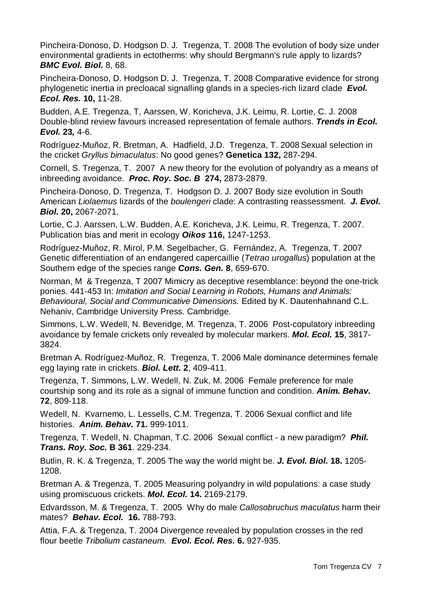Pincheira-Donoso, D. Hodgson D. J. Tregenza, T. 2008 The evolution of body size under environmental gradients in ectotherms: why should Bergmann's rule apply to lizards? *BMC Evol. Biol.* 8, 68.

Pincheira-Donoso, D. Hodgson D. J. Tregenza, T. 2008 Comparative evidence for strong phylogenetic inertia in precloacal signalling glands in a species-rich lizard clade *Evol. Ecol. Res.* **10,** 11-28.

Budden, A.E. Tregenza, T, Aarssen, W. Koricheva, J.K. Leimu, R. Lortie, C. J. 2008 Double-blind review favours increased representation of female authors. *Trends in Ecol. Evol.* **23***,* 4-6.

Rodríguez-Muñoz, R. Bretman, A. Hadfield, J.D. Tregenza, T. 2008 Sexual selection in the cricket *Gryllus bimaculatus*: No good genes? **Genetica 132,** 287-294.

Cornell, S. Tregenza, T. 2007 A new theory for the evolution of polyandry as a means of inbreeding avoidance. *Proc. Roy. Soc. B* **274,** 2873-2879.

Pincheira-Donoso, D. Tregenza, T. Hodgson D. J. 2007 Body size evolution in South American *Liolaemus* lizards of the *boulengeri* clade: A contrasting reassessment. *J. Evol. Biol.* **20,** 2067-2071.

Lortie, C.J. Aarssen, L.W. Budden, A.E. Koricheva, J.K. Leimu, R. Tregenza, T. 2007. Publication bias and merit in ecology *Oikos* **116,** 1247-1253.

Rodríguez-Muñoz, R. Mirol, P.M. Segelbacher, G. Fernández, A. Tregenza, T. 2007 Genetic differentiation of an endangered capercaillie (*Tetrao urogallus*) population at the Southern edge of the species range *Cons. Gen.* **8**, 659-670.

Norman, M & Tregenza, T 2007 Mimicry as deceptive resemblance: beyond the one-trick ponies. 441-453 In: *Imitation and Social Learning in Robots, Humans and Animals: Behavioural, Social and Communicative Dimensions.* Edited by K. Dautenhahnand C.L. Nehaniv, Cambridge University Press. Cambridge.

Simmons, L.W. Wedell, N. Beveridge, M. Tregenza, T. 2006 Post-copulatory inbreeding avoidance by female crickets only revealed by molecular markers. *Mol. Ecol.* **15**, 3817- 3824.

Bretman A. Rodríguez-Muñoz, R. Tregenza, T. 2006 Male dominance determines female egg laying rate in crickets. *Biol. Lett.* **2**, 409-411.

Tregenza, T. Simmons, L.W. Wedell, N. Zuk, M. 2006 Female preference for male courtship song and its role as a signal of immune function and condition. *Anim. Behav.*  **72**, 809-118.

Wedell, N. Kvarnemo, L. Lessells, C.M. Tregenza, T. 2006 Sexual conflict and life histories. *Anim. Behav.* **71.** 999-1011.

Tregenza, T. Wedell, N. Chapman, T.C. 2006 Sexual conflict - a new paradigm? *Phil. Trans. Roy. Soc.* **B 361**. 229-234.

Butlin, R. K. & Tregenza, T. 2005 The way the world might be. *J. Evol. Biol.* **18.** 1205- 1208.

Bretman A. & Tregenza, T. 2005 Measuring polyandry in wild populations: a case study using promiscuous crickets. *Mol. Ecol.* **14.** 2169-2179.

Edvardsson, M. & Tregenza, T. 2005 Why do male *Callosobruchus maculatus* harm their mates? *Behav. Ecol.* **16.** 788-793.

Attia, F.A. & Tregenza, T. 2004 Divergence revealed by population crosses in the red flour beetle *Tribolium castaneum. Evol. Ecol. Res.* **6.** 927-935.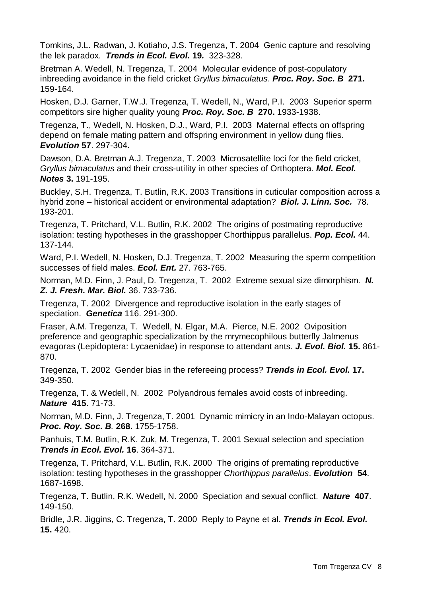Tomkins, J.L. Radwan, J. Kotiaho, J.S. Tregenza, T. 2004 Genic capture and resolving the lek paradox. *Trends in Ecol. Evol.* **19***.* 323-328.

Bretman A. Wedell, N. Tregenza, T. 2004 Molecular evidence of post-copulatory inbreeding avoidance in the field cricket *Gryllus bimaculatus*. *Proc. Roy. Soc. B* **271.** 159-164.

Hosken, D.J. Garner, T.W.J. Tregenza, T. Wedell, N., Ward, P.I. 2003 Superior sperm competitors sire higher quality young *Proc. Roy. Soc. B* **270.** 1933-1938.

Tregenza, T., Wedell, N. Hosken, D.J., Ward, P.I. 2003 Maternal effects on offspring depend on female mating pattern and offspring environment in yellow dung flies. *Evolution* **57**. 297-304**.** 

Dawson, D.A. Bretman A.J. Tregenza, T. 2003 Microsatellite loci for the field cricket, *Gryllus bimaculatus* and their cross-utility in other species of Orthoptera. *Mol. Ecol. Notes* **3.** 191-195.

Buckley, S.H. Tregenza, T. Butlin, R.K. 2003 Transitions in cuticular composition across a hybrid zone – historical accident or environmental adaptation? *Biol. J. Linn. Soc.* 78. 193-201.

Tregenza, T. Pritchard, V.L. Butlin, R.K. 2002 The origins of postmating reproductive isolation: testing hypotheses in the grasshopper Chorthippus parallelus. *Pop. Ecol.* 44. 137-144.

Ward, P.I. Wedell, N. Hosken, D.J. Tregenza, T. 2002 Measuring the sperm competition successes of field males. *Ecol. Ent.* 27. 763-765.

Norman, M.D. Finn, J. Paul, D. Tregenza, T. 2002 Extreme sexual size dimorphism. *N. Z. J. Fresh. Mar. Biol.* 36. 733-736.

Tregenza, T. 2002 Divergence and reproductive isolation in the early stages of speciation. *Genetica* 116. 291-300.

Fraser, A.M. Tregenza, T. Wedell, N. Elgar, M.A. Pierce, N.E. 2002 Oviposition preference and geographic specialization by the mrymecophilous butterfly Jalmenus evagoras (Lepidoptera: Lycaenidae) in response to attendant ants. *J. Evol. Biol.* **15.** 861- 870.

Tregenza, T. 2002 Gender bias in the refereeing process? *Trends in Ecol. Evol.* **17.** 349-350.

Tregenza, T. & Wedell, N. 2002 Polyandrous females avoid costs of inbreeding. *Nature* **415**. 71-73.

Norman, M.D. Finn, J. Tregenza, T. 2001 Dynamic mimicry in an Indo-Malayan octopus. *Proc. Roy. Soc. B.* **268.** 1755-1758.

Panhuis, T.M. Butlin, R.K. Zuk, M. Tregenza, T. 2001 Sexual selection and speciation *Trends in Ecol. Evol.* **16**. 364-371.

Tregenza, T. Pritchard, V.L. Butlin, R.K. 2000 The origins of premating reproductive isolation: testing hypotheses in the grasshopper *Chorthippus parallelus*. *Evolution* **54**. 1687-1698.

Tregenza, T. Butlin, R.K. Wedell, N. 2000 Speciation and sexual conflict. *Nature* **407**. 149-150.

Bridle, J.R. Jiggins, C. Tregenza, T. 2000 Reply to Payne et al. *Trends in Ecol. Evol.* **15.** 420.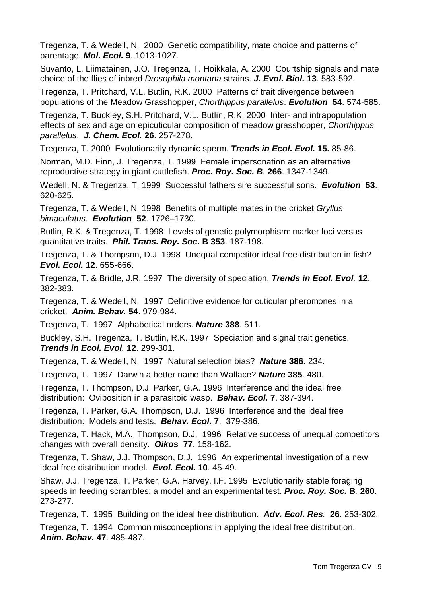Tregenza, T. & Wedell, N. 2000 Genetic compatibility, mate choice and patterns of parentage. *Mol. Ecol.* **9**. 1013-1027*.*

Suvanto, L. Liimatainen, J.O. Tregenza, T. Hoikkala, A. 2000 Courtship signals and mate choice of the flies of inbred *Drosophila montana* strains. *J. Evol. Biol.* **13**. 583-592.

Tregenza, T. Pritchard, V.L. Butlin, R.K. 2000 Patterns of trait divergence between populations of the Meadow Grasshopper, *Chorthippus parallelus*. *Evolution* **54**. 574-585.

Tregenza, T. Buckley, S.H. Pritchard, V.L. Butlin, R.K. 2000 Inter- and intrapopulation effects of sex and age on epicuticular composition of meadow grasshopper, *Chorthippus parallelus*. *J. Chem. Ecol.* **26**. 257-278.

Tregenza, T. 2000 Evolutionarily dynamic sperm. *Trends in Ecol. Evol.* **15.** 85-86.

Norman, M.D. Finn, J. Tregenza, T. 1999 Female impersonation as an alternative reproductive strategy in giant cuttlefish. *Proc. Roy. Soc. B.* **266**. 1347-1349.

Wedell, N. & Tregenza, T. 1999 Successful fathers sire successful sons. *Evolution* **53**. 620-625.

Tregenza, T. & Wedell, N. 1998 Benefits of multiple mates in the cricket *Gryllus bimaculatus*. *Evolution* **52**. 1726–1730.

Butlin, R.K. & Tregenza, T. 1998 Levels of genetic polymorphism: marker loci versus quantitative traits. *Phil. Trans. Roy. Soc.* **B 353**. 187-198.

Tregenza, T. & Thompson, D.J. 1998 Unequal competitor ideal free distribution in fish? *Evol. Ecol.* **12**. 655-666.

Tregenza, T. & Bridle, J.R. 1997 The diversity of speciation. *Trends in Ecol. Evol.* **12**. 382-383.

Tregenza, T. & Wedell, N. 1997 Definitive evidence for cuticular pheromones in a cricket. *Anim. Behav.* **54**. 979-984.

Tregenza, T. 1997 Alphabetical orders. *Nature* **388**. 511.

Buckley, S.H. Tregenza, T. Butlin, R.K. 1997 Speciation and signal trait genetics. *Trends in Ecol. Evol.* **12**. 299-301.

Tregenza, T. & Wedell, N. 1997 Natural selection bias? *Nature* **386**. 234.

Tregenza, T. 1997 Darwin a better name than Wallace? *Nature* **385**. 480.

Tregenza, T. Thompson, D.J. Parker, G.A. 1996 Interference and the ideal free distribution: Oviposition in a parasitoid wasp. *Behav. Ecol.* **7**. 387-394.

Tregenza, T. Parker, G.A. Thompson, D.J. 1996 Interference and the ideal free distribution: Models and tests. *Behav. Ecol.* **7**. 379-386.

Tregenza, T. Hack, M.A. Thompson, D.J. 1996 Relative success of unequal competitors changes with overall density. *Oikos* **77**. 158-162.

Tregenza, T. Shaw, J.J. Thompson, D.J. 1996 An experimental investigation of a new ideal free distribution model. *Evol. Ecol.* **10**. 45-49.

Shaw, J.J. Tregenza, T. Parker, G.A. Harvey, I.F. 1995 Evolutionarily stable foraging speeds in feeding scrambles: a model and an experimental test. *Proc. Roy. Soc.* **B***.* **260**. 273-277.

Tregenza, T. 1995 Building on the ideal free distribution. *Adv. Ecol. Res.* **26**. 253-302.

Tregenza, T. 1994 Common misconceptions in applying the ideal free distribution. *Anim. Behav.* **47**. 485-487.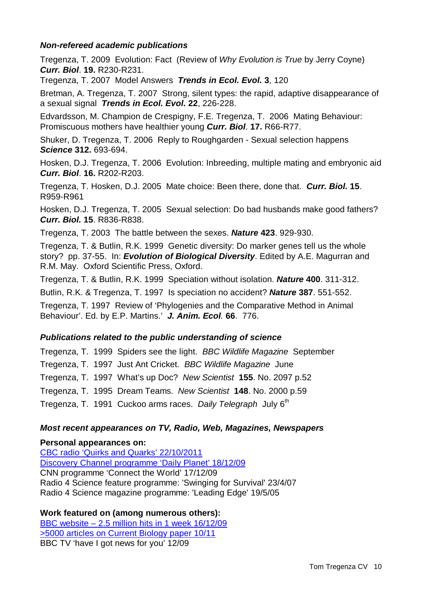### *Non-refereed academic publications*

Tregenza, T. 2009 Evolution: Fact (Review of *Why Evolution is True* by Jerry Coyne) *Curr. Biol*. **19.** R230-R231.

Tregenza, T. 2007 Model Answers *Trends in Ecol. Evol.* **3**, 120

Bretman, A. Tregenza, T. 2007 Strong, silent types: the rapid, adaptive disappearance of a sexual signal *Trends in Ecol. Evol.* **22**, 226-228.

Edvardsson, M. Champion de Crespigny, F.E. Tregenza, T. 2006 Mating Behaviour: Promiscuous mothers have healthier young *Curr. Biol*. **17.** R66-R77.

Shuker, D. Tregenza, T. 2006 Reply to Roughgarden - Sexual selection happens *Science* **312.** 693-694.

Hosken, D.J. Tregenza, T. 2006 Evolution: Inbreeding, multiple mating and embryonic aid *Curr. Biol*. **16.** R202-R203.

Tregenza, T. Hosken, D.J. 2005 Mate choice: Been there, done that. *Curr. Biol.* **15**. R959-R961

Hosken, D.J. Tregenza, T. 2005 Sexual selection: Do bad husbands make good fathers? *Curr. Biol.* **15**. R836-R838.

Tregenza, T. 2003 The battle between the sexes. *Nature* **423**. 929-930.

Tregenza, T. & Butlin, R.K. 1999 Genetic diversity: Do marker genes tell us the whole story? pp. 37-55. In: *Evolution of Biological Diversity*. Edited by A.E. Magurran and R.M. May. Oxford Scientific Press, Oxford.

Tregenza, T. & Butlin, R.K. 1999 Speciation without isolation. *Nature* **400**. 311-312.

Butlin, R.K. & Tregenza, T. 1997 Is speciation no accident? *Nature* **387**. 551-552.

Tregenza, T. 1997 Review of 'Phylogenies and the Comparative Method in Animal Behaviour'. Ed. by E.P. Martins.' *J. Anim. Ecol.* **66**. 776.

## *Publications related to the public understanding of science*

Tregenza, T. 1999 Spiders see the light. *BBC Wildlife Magazine* September Tregenza, T. 1997 Just Ant Cricket. *BBC Wildlife Magazine* June Tregenza, T. 1997 What's up Doc? *New Scientist* **155**. No. 2097 p.52 Tregenza, T. 1995 Dream Teams. *New Scientist* **148**. No. 2000 p.59 Tregenza, T. 1991 Cuckoo arms races. *Daily Telegraph* July 6<sup>th</sup>

## *Most recent appearances on TV, Radio, Web, Magazines, Newspapers*

### **Personal appearances on:**

[CBC radio 'Quirks and Quarks' 22/10/2011](http://www.cbc.ca/quirks/episode/2011/10/22/october-22-2011/) [Discovery Channel programme 'Daily Planet' 18/12/09](http://watch.discoverychannel.ca/daily-planet/december-2009/daily-planet---december-16-2009/#clip247578) CNN programme 'Connect the World' 17/12/09 Radio 4 Science feature programme: 'Swinging for Survival' 23/4/07 Radio 4 Science magazine programme: 'Leading Edge' 19/5/05

## **Work featured on (among numerous others):**

BBC website – [2.5 million hits in 1 week 16/12/09](http://news.bbc.co.uk/1/hi/8408233.stm) >5000 [articles on Current Biology paper 10/11](http://www.google.co.uk/search?q=%22chivalrous+crickets%22&ie=utf-8&oe=utf-8&aq=t&rls=org.mozilla:en-GB:official&client=firefox-a#sclient=psy-ab&hl=en&safe=off&client=firefox-a&hs=AFT&rls=org.mozilla:en-GB%3Aofficial&source=hp&q=%22chivalrous+crickets%22&p) BBC TV 'have I got news for you' 12/09